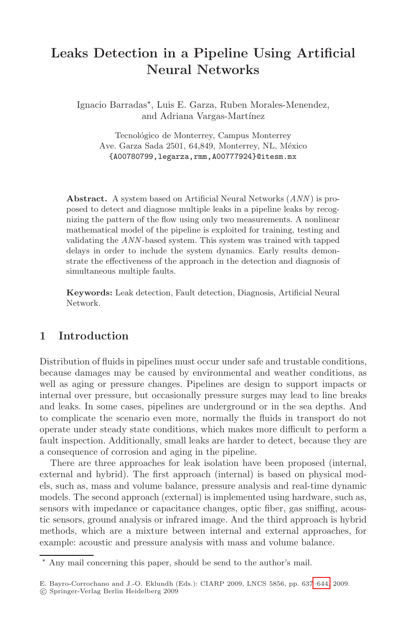# **Leaks Detection in a Pipeline Using Artificial Neural Networks**

Ignacio Barradas<sup>\*</sup>, Luis E. Garza, Ruben Morales-Menendez, and Adriana Vargas-Martínez

Tecnológico de Monterrey, Campus Monterrey Ave. Garza Sada 2501, 64,849, Monterrey, NL, México  $\frac{1}{2}$ 

**Abstract.** A system based on Artificial Neural Networks (*ANN* ) is proposed to detect and diagnose multiple leaks in a pipeline leaks by recognizing the pattern of the flow using only two measurements. A nonlinear mathematical model of the pipeline is exploited for training, testing and validating the *ANN* -based system. This system was trained with tapped delays in order to include the system dynamics. Early results demonstrate the effectiveness of the approach in the detection and diagnosis of simultaneous multiple faults.

**Keywords:** Leak detection, Fault detection, Diagnosis, Artificial Neural Network.

## **1 Introduction**

Distribution of fluids in pipelines must occur under safe and trustable conditions, because damages may be caused by environmental and weather conditions, as well as aging or pressure changes. Pipelines are design to support impacts or internal over pressure, but occasionally pressure surges may lead to line breaks and leaks. In some cases, pipelines are underground or in the sea depths. And to complicate the scenario even more, normally the fluids in transport do not operate under steady state conditions, which makes more difficult to perform a fault inspection. Additionally, small leaks are harder to detect, because they are a consequence of corrosion and aging in the pipeline.

There are three approaches for leak isolation have been proposed (internal, external and hybrid). The first approach (internal) is based on physical models, such as, mass and volume balance, pressure analysis and real-time dynamic models. The second approach (external) is implemented using hardware, such as, sensors with impedance or capacitance changes, optic fiber, gas sniffing, acoustic sensors, ground analysis or infrared image. And the third approach is hybrid methods, which are a mixture between internal and external approaches, for example: acoustic and pressure analysis with mass and volume balance.

<sup>-</sup> Any mail concerning this paper, should be send to the author's mail.

E. Bayro-Corrochano and J.-O. Eklundh (Eds.): CIARP 2009, LNCS 5856, pp. 63[7–644,](#page-7-0) 2009.

<sup>-</sup>c Springer-Verlag Berlin Heidelberg 2009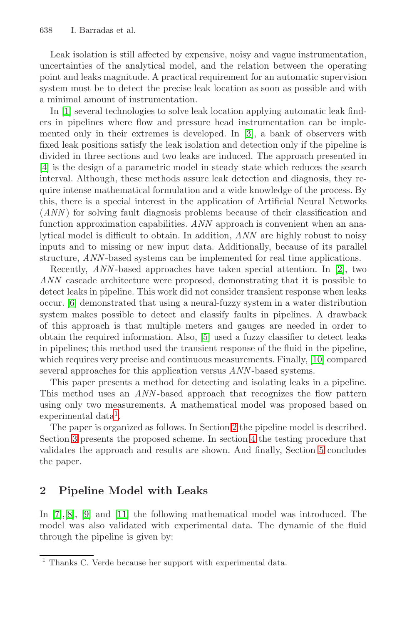Leak isolation is still affected by expensive, noisy and vague instrumentation, uncertainties of the analytical model, and the relation between the operating point and leaks magnitude. A practical requirement for an automatic supervision system must be to detect the precise leak location as soon as possible and with a minimal amount of instrumentation.

In [\[1\]](#page-7-1) several technologies to solve leak location applying automatic leak finders in pipelines where flow and pressure head instrumentation can be implemented only in their extremes is developed. In [\[3\]](#page-7-2), a bank of observers with fixed leak positions satisfy the leak isolation and detection only if the pipeline is divided in three sections and two leaks are induced. The approach presented in [\[4\]](#page-7-3) is the design of a parametric model in steady state which reduces the search interval. Although, these methods assure leak detection and diagnosis, they require intense mathematical formulation and a wide knowledge of the process. By this, there is a special interest in the application of Artificial Neural Networks (*ANN* ) for solving fault diagnosis problems because of their classification and function approximation capabilities. *ANN* approach is convenient when an analytical model is difficult to obtain. In addition, *ANN* are highly robust to noisy inputs and to missing or new input data. Additionally, because of its parallel structure, *ANN* -based systems can be implemented for real time applications.

Recently, *ANN* -based approaches have taken special attention. In [\[2\]](#page-7-4), two *ANN* cascade architecture were proposed, demonstrating that it is possible to detect leaks in pipeline. This work did not consider transient response when leaks occur. [\[6\]](#page-7-5) demonstrated that using a neural-fuzzy system in a water distribution system makes possible to detect and classify faults in pipelines. A drawback of this approach is that multiple meters and gauges are needed in order to obtain the required information. Also, [\[5\]](#page-7-6) used a fuzzy classifier to detect leaks in pipelines; this method used the transient response of the fluid in the pipeline, which requires very precise and continuous measurements. Finally, [\[10\]](#page-7-7) compared several approaches for this application versus *ANN* -based systems.

This paper presents a method for detecting and isolating leaks in a pipeline. This method uses an *ANN* -based approach that recognizes the flow pattern using only two measurements. A mathematical model was proposed based on experimental data<sup>[1](#page-1-0)</sup>.

The paper is organized as follows. In Section [2](#page-1-1) the pipeline model is described. Section [3](#page-3-0) presents the proposed scheme. In section [4](#page-4-0) the testing procedure that validates the approach and results are shown. And finally, Section [5](#page-6-0) concludes the paper.

## <span id="page-1-1"></span>**2 Pipeline Model with Leaks**

In [\[7\]](#page-7-8),[\[8\]](#page-7-9), [\[9\]](#page-7-10) and [\[11\]](#page-7-11) the following mathematical model was introduced. The model was also validated with experimental data. The dynamic of the fluid through the pipeline is given by:

<span id="page-1-0"></span> $1$  Thanks C. Verde because her support with experimental data.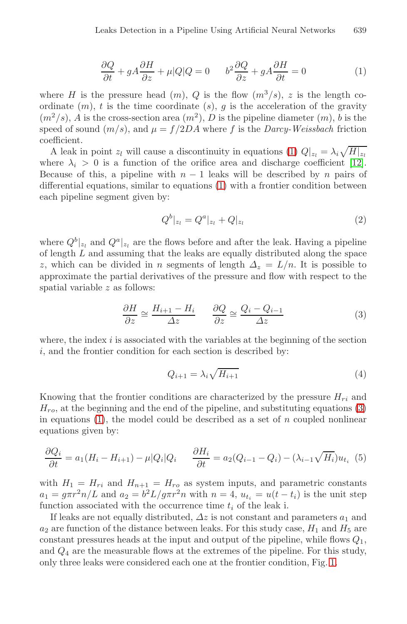$$
\frac{\partial Q}{\partial t} + gA \frac{\partial H}{\partial z} + \mu |Q|Q = 0 \qquad b^2 \frac{\partial Q}{\partial z} + gA \frac{\partial H}{\partial t} = 0 \tag{1}
$$

<span id="page-2-0"></span>where H is the pressure head  $(m)$ , Q is the flow  $(m^3/s)$ , z is the length coordinate  $(m)$ , t is the time coordinate  $(s)$ , q is the acceleration of the gravity  $(m^2/s)$ , A is the cross-section area  $(m^2)$ , D is the pipeline diameter  $(m)$ , b is the speed of sound  $(m/s)$ , and  $\mu = f/2DA$  where f is the *Darcy-Weissbach* friction coefficient.

A leak in point  $z_l$  will cause a discontinuity in equations [\(1\)](#page-2-0)  $Q|_{z_l} = \lambda_i \sqrt{H|_{z_l}}$ <br>here  $\lambda_i > 0$  is a function of the orifice area and discharge coefficient [12] where  $\lambda_i > 0$  is a function of the orifice area and discharge coefficient [\[12\]](#page-7-12). Because of this, a pipeline with  $n-1$  leaks will be described by n pairs of differential equations, similar to equations [\(1\)](#page-2-0) with a frontier condition between each pipeline segment given by:

$$
Q^b|_{z_l} = Q^a|_{z_l} + Q|_{z_l}
$$
 (2)

where  $Q^b|_{z_l}$  and  $Q^a|_{z_l}$  are the flows before and after the leak. Having a pipeline of length  $L$  and assuming that the leaks are equally distributed along the space z, which can be divided in n segments of length  $\Delta_z = L/n$ . It is possible to approximate the partial derivatives of the pressure and flow with respect to the spatial variable z as follows:

<span id="page-2-1"></span>
$$
\frac{\partial H}{\partial z} \cong \frac{H_{i+1} - H_i}{\Delta z} \qquad \frac{\partial Q}{\partial z} \cong \frac{Q_i - Q_{i-1}}{\Delta z} \tag{3}
$$

where, the index  $i$  is associated with the variables at the beginning of the section i, and the frontier condition for each section is described by:

$$
Q_{i+1} = \lambda_i \sqrt{H_{i+1}} \tag{4}
$$

Knowing that the frontier conditions are characterized by the pressure  $H_{ri}$  and  $H_{ro}$ , at the beginning and the end of the pipeline, and substituting equations [\(3\)](#page-2-1) in equations  $(1)$ , the model could be described as a set of n coupled nonlinear equations given by:

$$
\frac{\partial Q_i}{\partial t} = a_1(H_i - H_{i+1}) - \mu |Q_i| Q_i \qquad \frac{\partial H_i}{\partial t} = a_2(Q_{i-1} - Q_i) - (\lambda_{i-1}\sqrt{H_i})u_{t_i} \tag{5}
$$

with  $H_1 = H_{ri}$  and  $H_{n+1} = H_{ro}$  as system inputs, and parametric constants  $a_1 = g\pi r^2 n/L$  and  $a_2 = b^2 L/g\pi r^2 n$  with  $n = 4$ ,  $u_{t_i} = u(t - t_i)$  is the unit step function associated with the occurrence time  $t_i$  of the leak i.

If leaks are not equally distributed,  $\Delta z$  is not constant and parameters  $a_1$  and  $a_2$  are function of the distance between leaks. For this study case,  $H_1$  and  $H_5$  are constant pressures heads at the input and output of the pipeline, while flows  $Q_1$ , and  $Q_4$  are the measurable flows at the extremes of the pipeline. For this study, only three leaks were considered each one at the frontier condition, Fig. [1.](#page-3-1)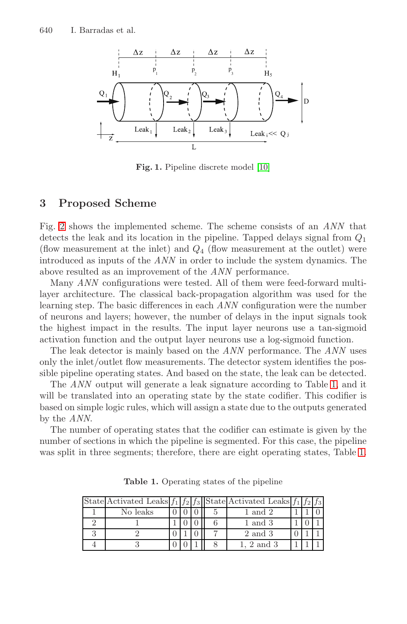

<span id="page-3-1"></span>**Fig. 1.** Pipeline discrete model [\[10\]](#page-7-7)

#### <span id="page-3-0"></span>**3 Proposed Scheme**

Fig. [2](#page-4-1) shows the implemented scheme. The scheme consists of an *ANN* that detects the leak and its location in the pipeline. Tapped delays signal from  $Q_1$ (flow measurement at the inlet) and  $Q_4$  (flow measurement at the outlet) were introduced as inputs of the *ANN* in order to include the system dynamics. The above resulted as an improvement of the *ANN* performance.

Many *ANN* configurations were tested. All of them were feed-forward multilayer architecture. The classical back-propagation algorithm was used for the learning step. The basic differences in each *ANN* configuration were the number of neurons and layers; however, the number of delays in the input signals took the highest impact in the results. The input layer neurons use a tan-sigmoid activation function and the output layer neurons use a log-sigmoid function.

The leak detector is mainly based on the *ANN* performance. The *ANN* uses only the inlet/outlet flow measurements. The detector system identifies the possible pipeline operating states. And based on the state, the leak can be detected.

The *ANN* output will generate a leak signature according to Table [1,](#page-3-2) and it will be translated into an operating state by the state codifier. This codifier is based on simple logic rules, which will assign a state due to the outputs generated by the *ANN*.

The number of operating states that the codifier can estimate is given by the number of sections in which the pipeline is segmented. For this case, the pipeline was split in three segments; therefore, there are eight operating states, Table [1.](#page-3-2)

| State Activated Leaks $f_1 \, f_2 \, f_3$ State Activated Leaks $f_1 \, f_2$ |  |  |                 |  |  |
|------------------------------------------------------------------------------|--|--|-----------------|--|--|
| No leaks                                                                     |  |  | $1$ and $2$     |  |  |
|                                                                              |  |  | $1\,$ and $3\,$ |  |  |
|                                                                              |  |  | 2 and 3         |  |  |
|                                                                              |  |  | 1, 2 and 3      |  |  |

<span id="page-3-2"></span>**Table 1.** Operating states of the pipeline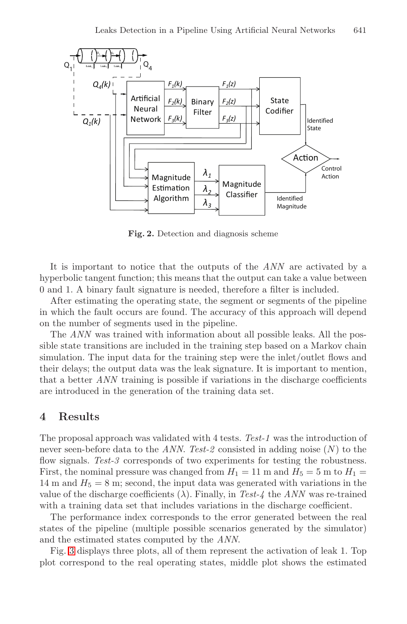

<span id="page-4-1"></span>**Fig. 2.** Detection and diagnosis scheme

It is important to notice that the outputs of the *ANN* are activated by a hyperbolic tangent function; this means that the output can take a value between 0 and 1. A binary fault signature is needed, therefore a filter is included.

After estimating the operating state, the segment or segments of the pipeline in which the fault occurs are found. The accuracy of this approach will depend on the number of segments used in the pipeline.

The *ANN* was trained with information about all possible leaks. All the possible state transitions are included in the training step based on a Markov chain simulation. The input data for the training step were the inlet/outlet flows and their delays; the output data was the leak signature. It is important to mention, that a better *ANN* training is possible if variations in the discharge coefficients are introduced in the generation of the training data set.

#### <span id="page-4-0"></span>**4 Results**

The proposal approach was validated with 4 tests. *Test-1* was the introduction of never seen-before data to the *ANN*. *Test-2* consisted in adding noise (N) to the flow signals. *Test-3* corresponds of two experiments for testing the robustness. First, the nominal pressure was changed from  $H_1 = 11$  m and  $H_5 = 5$  m to  $H_1 =$ 14 m and  $H_5 = 8$  m; second, the input data was generated with variations in the value of the discharge coefficients  $(\lambda)$ . Finally, in *Test-4* the *ANN* was re-trained with a training data set that includes variations in the discharge coefficient.

The performance index corresponds to the error generated between the real states of the pipeline (multiple possible scenarios generated by the simulator) and the estimated states computed by the *ANN*.

Fig. [3](#page-5-0) displays three plots, all of them represent the activation of leak 1. Top plot correspond to the real operating states, middle plot shows the estimated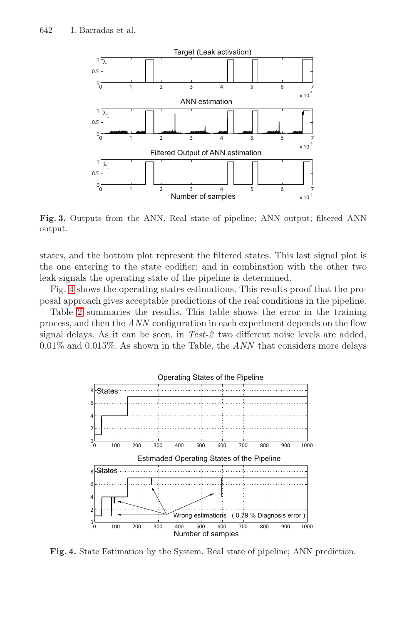

<span id="page-5-0"></span>**Fig. 3.** Outputs from the ANN. Real state of pipeline; ANN output; filtered ANN output.

states, and the bottom plot represent the filtered states. This last signal plot is the one entering to the state codifier; and in combination with the other two leak signals the operating state of the pipeline is determined.

Fig. [4](#page-5-1) shows the operating states estimations. This results proof that the proposal approach gives acceptable predictions of the real conditions in the pipeline.

Table [2](#page-6-1) summaries the results. This table shows the error in the training process, and then the *ANN* configuration in each experiment depends on the flow signal delays. As it can be seen, in *Test-2* two different noise levels are added, <sup>0</sup>.01% and 0.015%. As shown in the Table, the *ANN* that considers more delays



<span id="page-5-1"></span>**Fig. 4.** State Estimation by the System. Real state of pipeline; ANN prediction.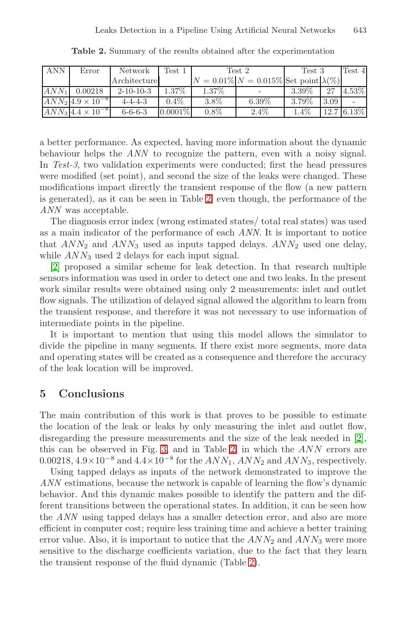| ANN     | <b>Error</b>                          | Network           | Test 1     | Test 2  | Test 3                                             |         | Test 4 |            |
|---------|---------------------------------------|-------------------|------------|---------|----------------------------------------------------|---------|--------|------------|
|         |                                       | Architecture      |            |         | $N = 0.01\%$ $N = 0.015\%$ Set point $\lambda(\%)$ |         |        |            |
| $ANN_1$ | 0.00218                               | $2 - 10 - 10 - 3$ | $1.37\%$   | 1.37%   |                                                    | 3.39%   | 27     | 4.53%      |
|         | $ANN_2\overline{4.9}\times 10^{-8}$   | $4 - 4 - 4 - 3$   | $0.4\%$    | 3.8%    | $6.39\%$                                           | 3.79%   | 3.09   |            |
|         | $ANN_3$ 4.4 $\times$ 10 <sup>-8</sup> | $6 - 6 - 6 - 3$   | $0.0001\%$ | $0.8\%$ | $2.4\%$                                            | $1.4\%$ |        | 12.7 6.13% |

<span id="page-6-1"></span>**Table 2.** Summary of the results obtained after the experimentation

a better performance. As expected, having more information about the dynamic behaviour helps the *ANN* to recognize the pattern, even with a noisy signal. In *Test-3*, two validation experiments were conducted; first the head pressures were modified (set point), and second the size of the leaks were changed. These modifications impact directly the transient response of the flow (a new pattern is generated), as it can be seen in Table [2;](#page-6-1) even though, the performance of the *ANN* was acceptable.

The diagnosis error index (wrong estimated states/ total real states) was used as a main indicator of the performance of each *ANN*. It is important to notice that  $ANN_2$  and  $ANN_3$  used as inputs tapped delays.  $ANN_2$  used one delay, while  $ANN_3$  used 2 delays for each input signal.

[\[2\]](#page-7-4) proposed a similar scheme for leak detection. In that research multiple sensors information was used in order to detect one and two leaks. In the present work similar results were obtained using only 2 measurements: inlet and outlet flow signals. The utilization of delayed signal allowed the algorithm to learn from the transient response, and therefore it was not necessary to use information of intermediate points in the pipeline.

It is important to mention that using this model allows the simulator to divide the pipeline in many segments. If there exist more segments, more data and operating states will be created as a consequence and therefore the accuracy of the leak location will be improved.

### <span id="page-6-0"></span>**5 Conclusions**

The main contribution of this work is that proves to be possible to estimate the location of the leak or leaks by only measuring the inlet and outlet flow, disregarding the pressure measurements and the size of the leak needed in [\[2\]](#page-7-4), this can be observed in Fig. [3,](#page-5-0) and in Table [2,](#page-6-1) in which the ANN errors are 0.00218,  $4.9 \times 10^{-8}$  and  $4.4 \times 10^{-8}$  for the  $ANN_1$ ,  $ANN_2$  and  $ANN_3$ , respectively.

Using tapped delays as inputs of the network demonstrated to improve the *ANN* estimations, because the network is capable of learning the flow's dynamic behavior. And this dynamic makes possible to identify the pattern and the different transitions between the operational states. In addition, it can be seen how the *ANN* using tapped delays has a smaller detection error, and also are more efficient in computer cost; require less training time and achieve a better training error value. Also, it is important to notice that the  $ANN_2$  and  $ANN_3$  were more sensitive to the discharge coefficients variation, due to the fact that they learn the transient response of the fluid dynamic (Table [2\)](#page-6-1).